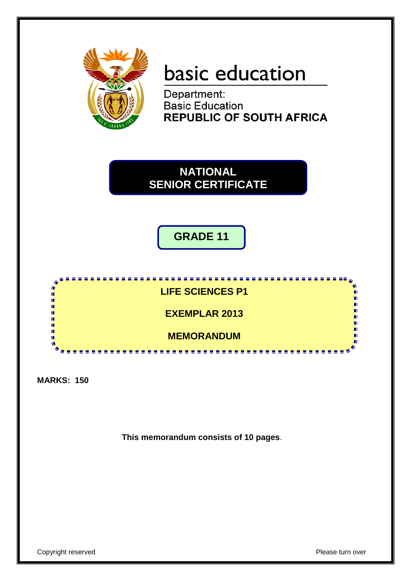

# basic education

Department: **Basic Education REPUBLIC OF SOUTH AFRICA** 

**NATIONAL SENIOR CERTIFICATE**

**GRADE 11**



**MARKS: 150**

**This memorandum consists of 10 pages**.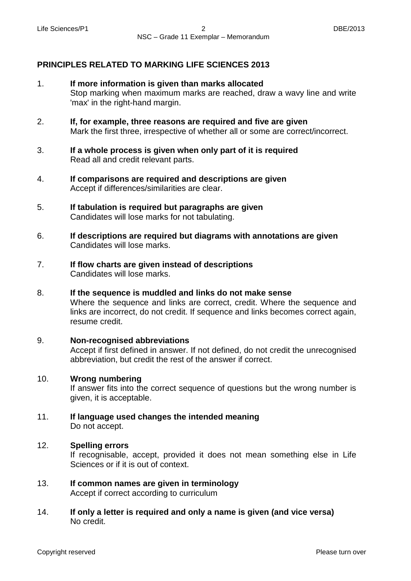#### **PRINCIPLES RELATED TO MARKING LIFE SCIENCES 2013**

- 1. **If more information is given than marks allocated** Stop marking when maximum marks are reached, draw a wavy line and write 'max' in the right-hand margin.
- 2. **If, for example, three reasons are required and five are given** Mark the first three, irrespective of whether all or some are correct/incorrect.
- 3. **If a whole process is given when only part of it is required** Read all and credit relevant parts.
- 4. **If comparisons are required and descriptions are given** Accept if differences/similarities are clear.
- 5. **If tabulation is required but paragraphs are given** Candidates will lose marks for not tabulating.
- 6. **If descriptions are required but diagrams with annotations are given**  Candidates will lose marks.
- 7. **If flow charts are given instead of descriptions** Candidates will lose marks.
- 8. **If the sequence is muddled and links do not make sense** Where the sequence and links are correct, credit. Where the sequence and links are incorrect, do not credit. If sequence and links becomes correct again, resume credit.
	- **Non-recognised abbreviations** Accept if first defined in answer. If not defined, do not credit the unrecognised abbreviation, but credit the rest of the answer if correct.

#### 10. **Wrong numbering**

9.

If answer fits into the correct sequence of questions but the wrong number is given, it is acceptable.

11. **If language used changes the intended meaning** Do not accept.

#### 12. **Spelling errors**

If recognisable, accept, provided it does not mean something else in Life Sciences or if it is out of context.

- 13. **If common names are given in terminology** Accept if correct according to curriculum
- 14. **If only a letter is required and only a name is given (and vice versa)** No credit.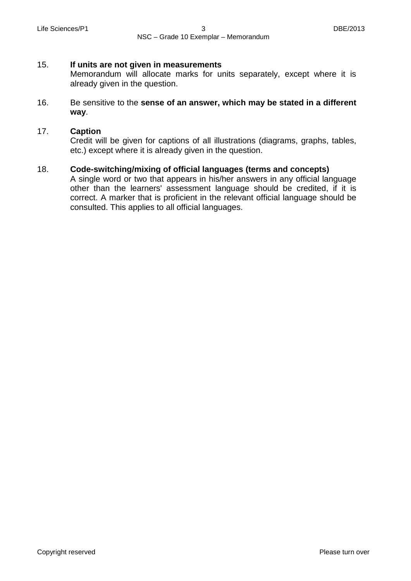#### 15. **If units are not given in measurements**

Memorandum will allocate marks for units separately, except where it is already given in the question.

#### 16. Be sensitive to the **sense of an answer, which may be stated in a different way**.

#### 17. **Caption**

Credit will be given for captions of all illustrations (diagrams, graphs, tables, etc.) except where it is already given in the question.

#### 18. **Code-switching/mixing of official languages (terms and concepts)**

A single word or two that appears in his/her answers in any official language other than the learners' assessment language should be credited, if it is correct. A marker that is proficient in the relevant official language should be consulted. This applies to all official languages.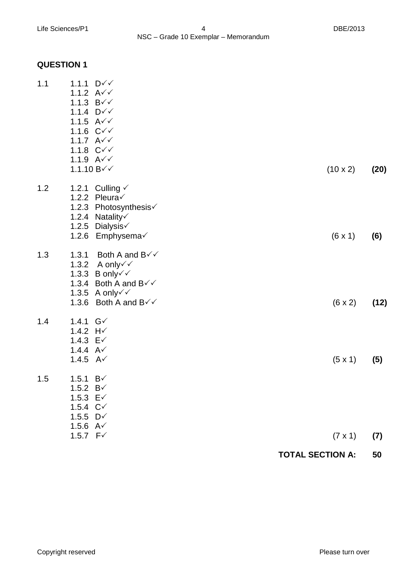## **QUESTION 1**

| 1.1 | 1.1.1 $D\check{v}$                                                    |                         |      |
|-----|-----------------------------------------------------------------------|-------------------------|------|
|     | 1.1.2 $A \checkmark \checkmark$                                       |                         |      |
|     | 1.1.3 $B\checkmark\checkmark$<br>1.1.4 $D\check{v}$                   |                         |      |
|     | 1.1.5 $A \checkmark \checkmark$                                       |                         |      |
|     | 1.1.6 $C\check{v}$                                                    |                         |      |
|     | 1.1.7 $A\check{v}$                                                    |                         |      |
|     | 1.1.8 $C\check{v}$<br>1.1.9 $A\check{v}$                              |                         |      |
|     | 1.1.10 $B\checkmark\checkmark$                                        | $(10 \times 2)$         | (20) |
|     |                                                                       |                         |      |
| 1.2 | 1.2.1 Culling √                                                       |                         |      |
|     | 1.2.2 Pleura $\checkmark$                                             |                         |      |
|     | 1.2.3 Photosynthesis√<br>1.2.4 Natality                               |                         |      |
|     | 1.2.5 Dialysis√                                                       |                         |      |
|     | 1.2.6 Emphysema√                                                      | $(6 \times 1)$          | (6)  |
| 1.3 | 1.3.1<br>Both A and B√√                                               |                         |      |
|     | A only√√<br>1.3.2                                                     |                         |      |
|     | 1.3.3 B only $\checkmark$<br>1.3.4 Both A and $B\checkmark\checkmark$ |                         |      |
|     | 1.3.5 A only $\checkmark$                                             |                         |      |
|     | Both A and $B\checkmark\checkmark$<br>1.3.6                           | $(6 \times 2)$          | (12) |
| 1.4 | 1.4.1 $G\checkmark$                                                   |                         |      |
|     | 1.4.2 $H\check{ }$                                                    |                         |      |
|     | 1.4.3 $E\checkmark$<br>1.4.4 $A\checkmark$                            |                         |      |
|     | 1.4.5 $A\checkmark$                                                   | $(5 \times 1)$          | (5)  |
|     |                                                                       |                         |      |
| 1.5 | 1.5.1 $B\checkmark$                                                   |                         |      |
|     | 1.5.2 $B\checkmark$<br>1.5.3 $E\check{ }$                             |                         |      |
|     | 1.5.4 $C1$                                                            |                         |      |
|     | 1.5.5 $D\checkmark$                                                   |                         |      |
|     | 1.5.6 $A\checkmark$<br>1.5.7 $F\checkmark$                            | $(7 \times 1)$          | (7)  |
|     |                                                                       |                         |      |
|     |                                                                       | <b>TOTAL SECTION A:</b> | 50   |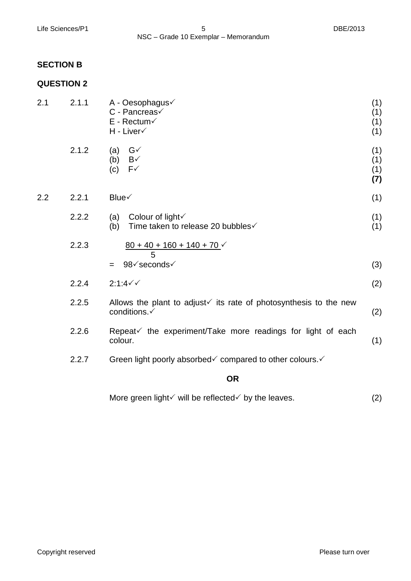#### **SECTION B**

## **QUESTION 2**

|     |       | <b>OR</b>                                                                                     |                          |
|-----|-------|-----------------------------------------------------------------------------------------------|--------------------------|
|     | 2.2.7 | Green light poorly absorbed√ compared to other colours.                                       |                          |
|     | 2.2.6 | Repeat√ the experiment/Take more readings for light of each<br>colour.                        | (1)                      |
|     | 2.2.5 | Allows the plant to adjust $\checkmark$ its rate of photosynthesis to the new<br>conditions.√ | (2)                      |
|     | 2.2.4 | $2:1:4 \checkmark$                                                                            | (2)                      |
|     | 2.2.3 | $80 + 40 + 160 + 140 + 70$<br>5<br>98√seconds√<br>$=$                                         | (3)                      |
|     | 2.2.2 | Colour of light V<br>(a)<br>Time taken to release 20 bubbles√<br>(b)                          | (1)<br>(1)               |
| 2.2 | 2.2.1 | Blue√                                                                                         | (1)                      |
|     | 2.1.2 | $G\checkmark$<br>(a)<br>(b)<br>$B\checkmark$<br>$F\checkmark$<br>(c)                          | (1)<br>(1)<br>(1)<br>(7) |
| 2.1 | 2.1.1 | A - Oesophagus√<br>C - Pancreas√<br>$E$ - Rectum $\checkmark$<br>H - Liver√                   | (1)<br>(1)<br>(1)<br>(1) |

More green light  $\checkmark$  will be reflected  $\checkmark$  by the leaves. (2)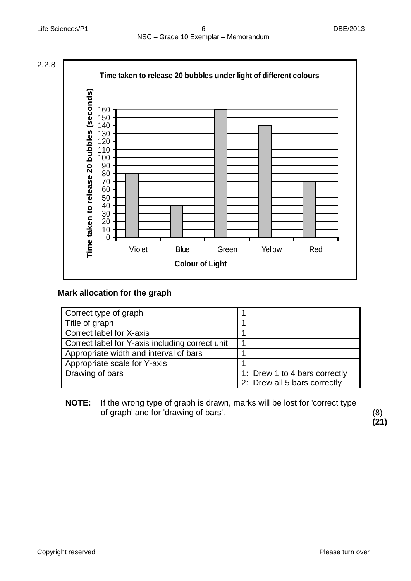

## **Mark allocation for the graph**

| Correct type of graph                           |                               |
|-------------------------------------------------|-------------------------------|
| Title of graph                                  |                               |
| Correct label for X-axis                        |                               |
| Correct label for Y-axis including correct unit |                               |
| Appropriate width and interval of bars          |                               |
| Appropriate scale for Y-axis                    |                               |
| Drawing of bars                                 | 1: Drew 1 to 4 bars correctly |
|                                                 | 2: Drew all 5 bars correctly  |

**NOTE:** If the wrong type of graph is drawn, marks will be lost for 'correct type of graph' and for 'drawing of bars'. (8)

**(21)**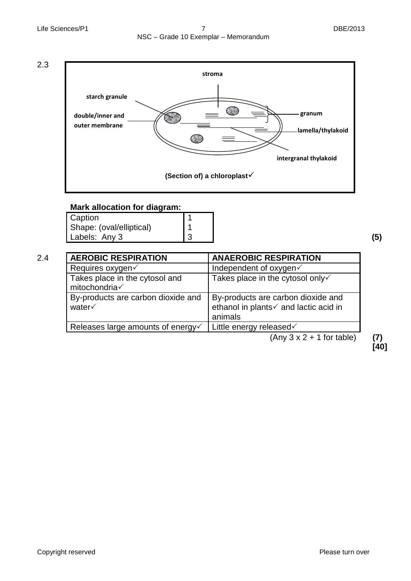Life Sciences/P1 **7** 2013 NSC – Grade 10 Exemplar – Memorandum





#### **Mark allocation for diagram:**

| Caption                  |  |
|--------------------------|--|
| Shape: (oval/elliptical) |  |
| Labels: Any 3            |  |

| I<br>۰,<br>۰<br>×<br>×<br>۰. |
|------------------------------|
|------------------------------|

| 2.4 | <b>AEROBIC RESPIRATION</b>                      | <b>ANAEROBIC RESPIRATION</b>                                                           |  |
|-----|-------------------------------------------------|----------------------------------------------------------------------------------------|--|
|     | Requires oxygen√                                | Independent of oxygen√                                                                 |  |
|     | Takes place in the cytosol and<br>mitochondria√ | Takes place in the cytosol only√                                                       |  |
|     | By-products are carbon dioxide and<br>water√    | By-products are carbon dioxide and<br>ethanol in plants√ and lactic acid in<br>animals |  |
|     | Releases large amounts of energy√               | Little energy released $\checkmark$                                                    |  |
|     | $(A_1, A_2, A_3, A_4, A_5, A_6, A_7)$           |                                                                                        |  |

(Any 3 x 2 + 1 for table) **(7)**

**[40]**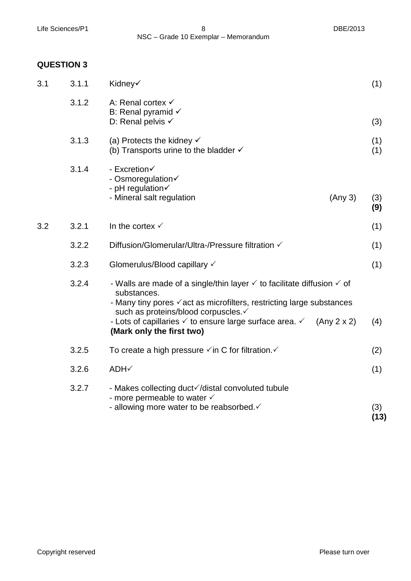Life Sciences/P1 8 and 8 and 8 DBE/2013 NSC – Grade 10 Exemplar – Memorandum

## **QUESTION 3**

| 3.1 | 3.1.1 | Kidney√                                                                                                                                                                                                                                                                                                                                                             | (1)         |
|-----|-------|---------------------------------------------------------------------------------------------------------------------------------------------------------------------------------------------------------------------------------------------------------------------------------------------------------------------------------------------------------------------|-------------|
|     | 3.1.2 | A: Renal cortex √<br>B: Renal pyramid $\checkmark$<br>D: Renal pelvis $\checkmark$                                                                                                                                                                                                                                                                                  | (3)         |
|     | 3.1.3 | (a) Protects the kidney $\checkmark$<br>(b) Transports urine to the bladder $\checkmark$                                                                                                                                                                                                                                                                            | (1)<br>(1)  |
|     | 3.1.4 | - Excretion<br>- Osmoregulation<br>- pH regulation<br>- Mineral salt regulation<br>(Any 3)                                                                                                                                                                                                                                                                          | (3)<br>(9)  |
| 3.2 | 3.2.1 | In the cortex $\checkmark$                                                                                                                                                                                                                                                                                                                                          | (1)         |
|     | 3.2.2 | Diffusion/Glomerular/Ultra-/Pressure filtration √                                                                                                                                                                                                                                                                                                                   | (1)         |
|     | 3.2.3 | Glomerulus/Blood capillary √                                                                                                                                                                                                                                                                                                                                        | (1)         |
|     | 3.2.4 | - Walls are made of a single/thin layer $\checkmark$ to facilitate diffusion $\checkmark$ of<br>substances.<br>- Many tiny pores $\checkmark$ act as microfilters, restricting large substances<br>such as proteins/blood corpuscles.√<br>- Lots of capillaries $\checkmark$ to ensure large surface area. $\checkmark$<br>(Any 2 x 2)<br>(Mark only the first two) | (4)         |
|     | 3.2.5 | To create a high pressure $\checkmark$ in C for filtration. $\checkmark$                                                                                                                                                                                                                                                                                            | (2)         |
|     | 3.2.6 | ADH√                                                                                                                                                                                                                                                                                                                                                                | (1)         |
|     | 3.2.7 | - Makes collecting duct√/distal convoluted tubule<br>- more permeable to water $\checkmark$<br>- allowing more water to be reabsorbed.                                                                                                                                                                                                                              | (3)<br>(13) |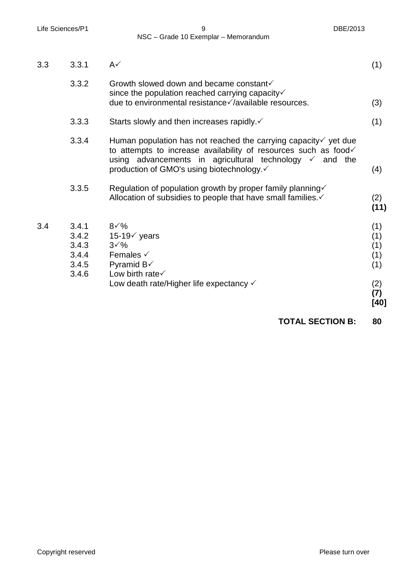Life Sciences/P1 9 DBE/2013 NSC – Grade 10 Exemplar – Memorandum

| 3.3 | 3.3.1                                              | $A\checkmark$                                                                                                                                                                                                                                                    | (1)                                                   |
|-----|----------------------------------------------------|------------------------------------------------------------------------------------------------------------------------------------------------------------------------------------------------------------------------------------------------------------------|-------------------------------------------------------|
|     | 3.3.2                                              | Growth slowed down and became constant√<br>since the population reached carrying capacity√<br>due to environmental resistance√/available resources.                                                                                                              | (3)                                                   |
|     | 3.3.3                                              | Starts slowly and then increases rapidly. $\checkmark$                                                                                                                                                                                                           | (1)                                                   |
|     | 3.3.4                                              | Human population has not reached the carrying capacity $\checkmark$ yet due<br>to attempts to increase availability of resources such as food<br>using advancements in agricultural technology $\checkmark$ and the<br>production of GMO's using biotechnology.√ | (4)                                                   |
|     | 3.3.5                                              | Regulation of population growth by proper family planning√<br>Allocation of subsidies to people that have small families.                                                                                                                                        | (2)<br>(11)                                           |
| 3.4 | 3.4.1<br>3.4.2<br>3.4.3<br>3.4.4<br>3.4.5<br>3.4.6 | $8\sqrt{\%}$<br>15-19 $\checkmark$ years<br>$3\sqrt{\%}$<br>Females $\checkmark$<br>Pyramid $B\checkmark$<br>Low birth rate<br>Low death rate/Higher life expectancy $\checkmark$                                                                                | (1)<br>(1)<br>(1)<br>(1)<br>(1)<br>(2)<br>(7)<br>[40] |

**TOTAL SECTION B: 80**